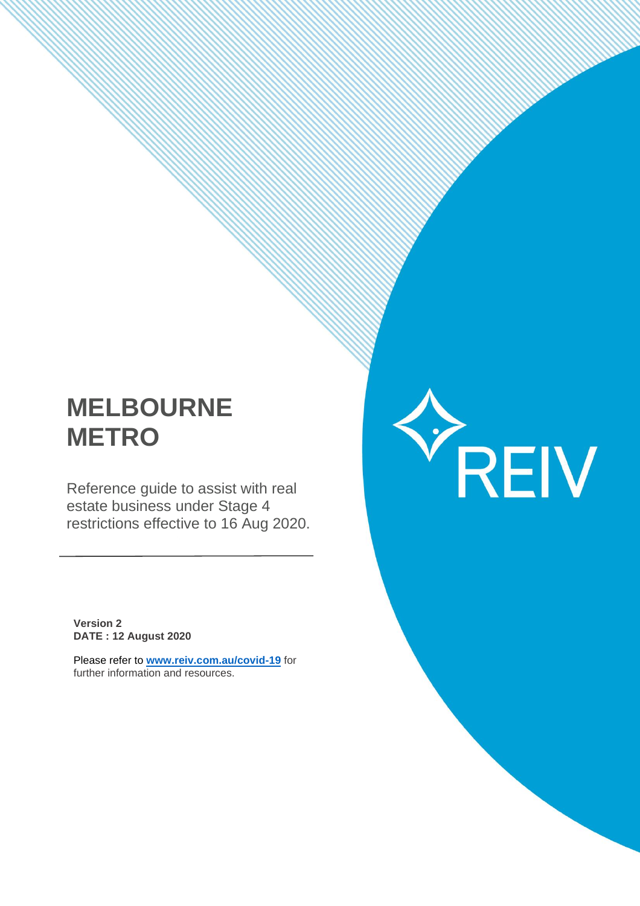# **MELBOURNE METRO**

Reference guide to assist with real estate business under Stage 4 restrictions effective to 16 Aug 2020. YREIV

**Version 2 DATE : 12 August 2020**

Please refer to **[www.reiv.com.au/covid-19](http://www.reiv.com.au/covid-19)** for further information and resources.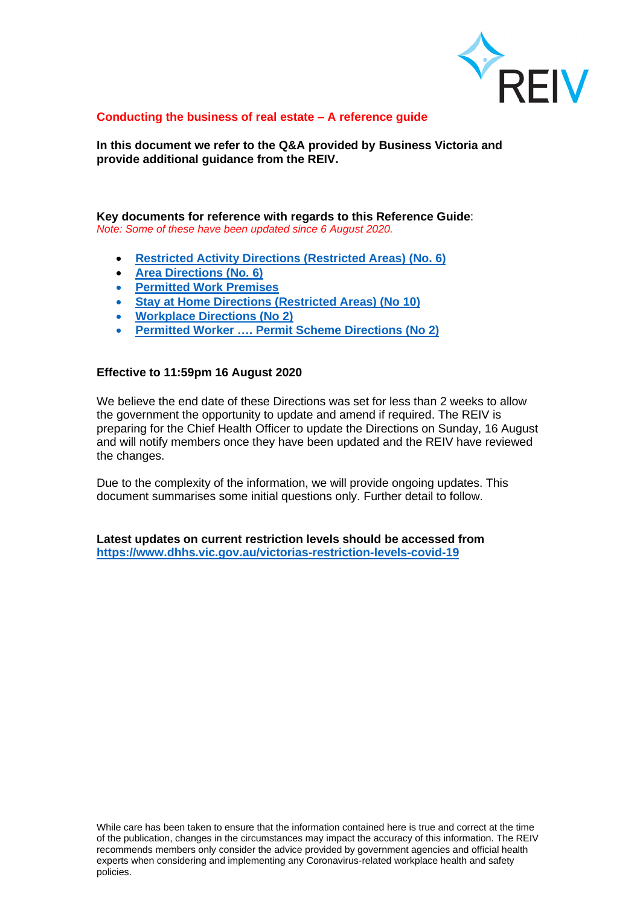

#### **Conducting the business of real estate – A reference guide**

**In this document we refer to the Q&A provided by Business Victoria and provide additional guidance from the REIV.**

#### **Key documents for reference with regards to this Reference Guide**: *Note: Some of these have been updated since 6 August 2020.*

- **[Restricted Activity Directions \(Restricted Areas\) \(No. 6\)](https://www.dhhs.vic.gov.au/sites/default/files/documents/202008/B2%20-%20Restricted%20Activities%20Directions%20%28Restricted%20Areas%29%20No%206%20-%205%20August%202020.pdf)**
- **[Area Directions \(No. 6\)](https://www.dhhs.vic.gov.au/sites/default/files/documents/202008/B1%20-%20Area%20Directions%20%28No%206%29%20-%205%20August%202020.pdf)**
- **[Permitted Work Premises](https://www.dhhs.vic.gov.au/sites/default/files/documents/202008/Permitted%20Work%20Premises%20for%20the%20purposes%20of%20the%20Restricted%20Activity%20Directions%20%28Restricted%20Areas%29%20%28No%206%29version3.pdf)**
- **[Stay at Home Directions \(Restricted Areas\) \(No 10\)](https://www.dhhs.vic.gov.au/sites/default/files/documents/202008/Stay%20at%20Home%20Directions%20%28Restricted%20Areas%29%20%28No%2010%29%20-%208%20August%202020signed_0.pdf)**
- **[Workplace Directions](https://www.dhhs.vic.gov.au/sites/default/files/documents/202008/Workplace%20Directions%20%28No%202%29%20-%208%20August%202020.pdf) (No 2)**
- **[Permitted Worker …. Permit Scheme](https://www.dhhs.vic.gov.au/sites/default/files/documents/202008/Permitted%20Worker%20and%20Childcare%20Permit%20Scheme%20Directions%20%28No%202%29%20-%208%20August%202020.pdf) Directions (No 2)**

#### **Effective to 11:59pm 16 August 2020**

We believe the end date of these Directions was set for less than 2 weeks to allow the government the opportunity to update and amend if required. The REIV is preparing for the Chief Health Officer to update the Directions on Sunday, 16 August and will notify members once they have been updated and the REIV have reviewed the changes.

Due to the complexity of the information, we will provide ongoing updates. This document summarises some initial questions only. Further detail to follow.

**Latest updates on current restriction levels should be accessed from <https://www.dhhs.vic.gov.au/victorias-restriction-levels-covid-19>**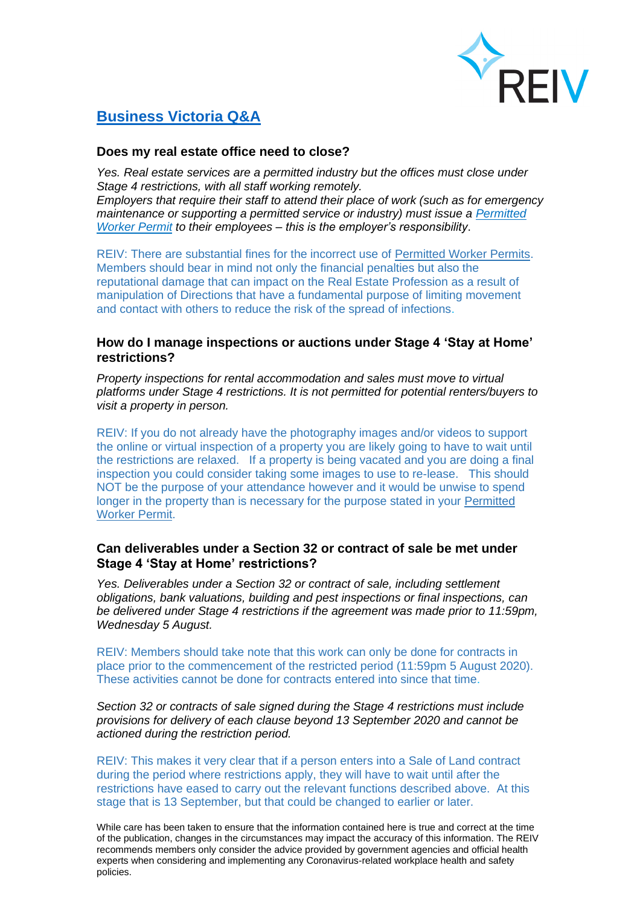

# **[Business Victoria Q&A](https://www.business.vic.gov.au/disputes-disasters-and-succession-planning/covid-safe-business/rental-hiring-and-real-estate-services-sector-guidance)**

# **Does my real estate office need to close?**

*Yes. Real estate services are a permitted industry but the offices must close under Stage 4 restrictions, with all staff working remotely. Employers that require their staff to attend their place of work (such as for emergency maintenance or supporting a permitted service or industry) must issue a [Permitted](https://www.business.vic.gov.au/disputes-disasters-and-succession-planning/coronavirus-covid-19/permitted-worker-scheme) [Worker](https://www.business.vic.gov.au/disputes-disasters-and-succession-planning/coronavirus-covid-19/permitted-worker-scheme) Permit to their employees – this is the employer's responsibility*.

REIV: There are substantial fines for the incorrect use of [Permitted](https://www.business.vic.gov.au/disputes-disasters-and-succession-planning/coronavirus-covid-19/permitted-worker-scheme) Worker Permits. Members should bear in mind not only the financial penalties but also the reputational damage that can impact on the Real Estate Profession as a result of manipulation of Directions that have a fundamental purpose of limiting movement and contact with others to reduce the risk of the spread of infections.

## **How do I manage inspections or auctions under Stage 4 'Stay at Home' restrictions?**

*Property inspections for rental accommodation and sales must move to virtual platforms under Stage 4 restrictions. It is not permitted for potential renters/buyers to visit a property in person.*

REIV: If you do not already have the photography images and/or videos to support the online or virtual inspection of a property you are likely going to have to wait until the restrictions are relaxed. If a property is being vacated and you are doing a final inspection you could consider taking some images to use to re-lease. This should NOT be the purpose of your attendance however and it would be unwise to spend longer in the property than is necessary for the purpose stated in your [Permitted](https://www.business.vic.gov.au/disputes-disasters-and-succession-planning/coronavirus-covid-19/permitted-worker-scheme) [Worker](https://www.business.vic.gov.au/disputes-disasters-and-succession-planning/coronavirus-covid-19/permitted-worker-scheme) Permit.

# **Can deliverables under a Section 32 or contract of sale be met under Stage 4 'Stay at Home' restrictions?**

*Yes. Deliverables under a Section 32 or contract of sale, including settlement obligations, bank valuations, building and pest inspections or final inspections, can be delivered under Stage 4 restrictions if the agreement was made prior to 11:59pm, Wednesday 5 August.*

REIV: Members should take note that this work can only be done for contracts in place prior to the commencement of the restricted period (11:59pm 5 August 2020). These activities cannot be done for contracts entered into since that time.

*Section 32 or contracts of sale signed during the Stage 4 restrictions must include provisions for delivery of each clause beyond 13 September 2020 and cannot be actioned during the restriction period.*

REIV: This makes it very clear that if a person enters into a Sale of Land contract during the period where restrictions apply, they will have to wait until after the restrictions have eased to carry out the relevant functions described above. At this stage that is 13 September, but that could be changed to earlier or later.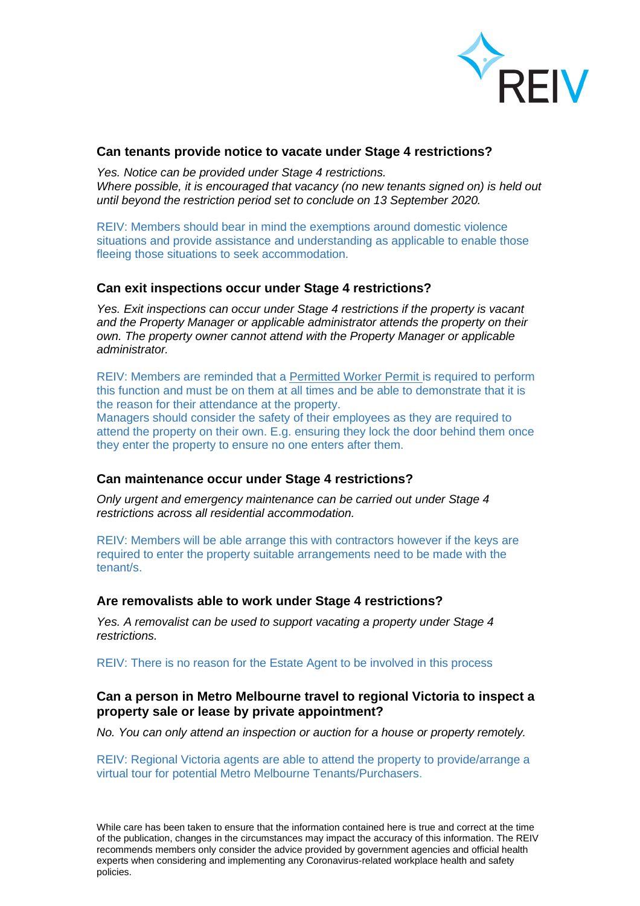

#### **Can tenants provide notice to vacate under Stage 4 restrictions?**

*Yes. Notice can be provided under Stage 4 restrictions. Where possible, it is encouraged that vacancy (no new tenants signed on) is held out until beyond the restriction period set to conclude on 13 September 2020.*

REIV: Members should bear in mind the exemptions around domestic violence situations and provide assistance and understanding as applicable to enable those fleeing those situations to seek accommodation.

#### **Can exit inspections occur under Stage 4 restrictions?**

*Yes. Exit inspections can occur under Stage 4 restrictions if the property is vacant and the Property Manager or applicable administrator attends the property on their own. The property owner cannot attend with the Property Manager or applicable administrator.*

REIV: Members are reminded that a [Permitted](https://www.business.vic.gov.au/disputes-disasters-and-succession-planning/coronavirus-covid-19/permitted-worker-scheme) Worker Permit is required to perform this function and must be on them at all times and be able to demonstrate that it is the reason for their attendance at the property.

Managers should consider the safety of their employees as they are required to attend the property on their own. E.g. ensuring they lock the door behind them once they enter the property to ensure no one enters after them.

#### **Can maintenance occur under Stage 4 restrictions?**

*Only urgent and emergency maintenance can be carried out under Stage 4 restrictions across all residential accommodation.*

REIV: Members will be able arrange this with contractors however if the keys are required to enter the property suitable arrangements need to be made with the tenant/s.

#### **Are removalists able to work under Stage 4 restrictions?**

*Yes. A removalist can be used to support vacating a property under Stage 4 restrictions.*

REIV: There is no reason for the Estate Agent to be involved in this process

# **Can a person in Metro Melbourne travel to regional Victoria to inspect a property sale or lease by private appointment?**

*No. You can only attend an inspection or auction for a house or property remotely.*

REIV: Regional Victoria agents are able to attend the property to provide/arrange a virtual tour for potential Metro Melbourne Tenants/Purchasers.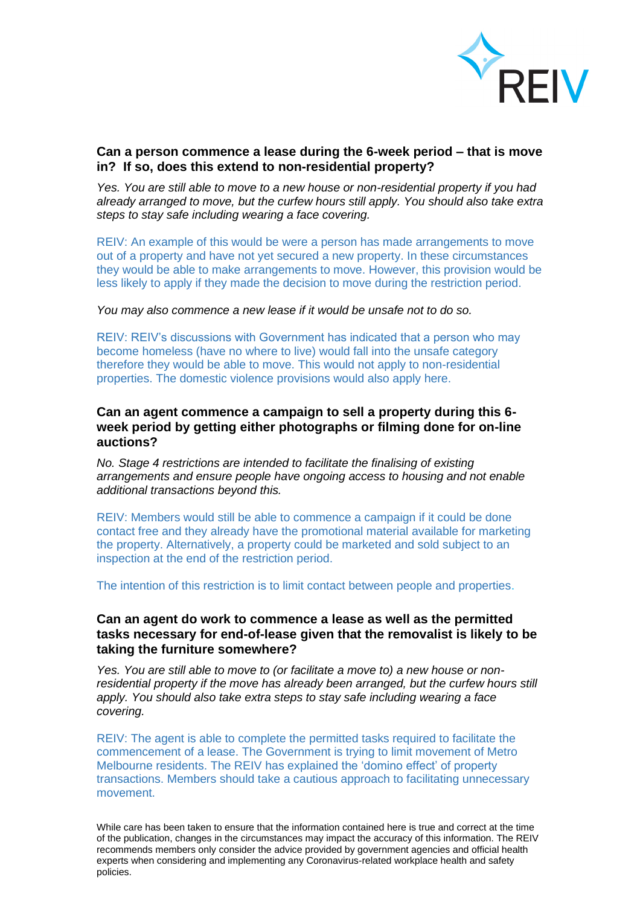

# **Can a person commence a lease during the 6-week period – that is move in? If so, does this extend to non-residential property?**

*Yes. You are still able to move to a new house or non-residential property if you had already arranged to move, but the curfew hours still apply. You should also take extra steps to stay safe including wearing a face covering.*

REIV: An example of this would be were a person has made arrangements to move out of a property and have not yet secured a new property. In these circumstances they would be able to make arrangements to move. However, this provision would be less likely to apply if they made the decision to move during the restriction period.

*You may also commence a new lease if it would be unsafe not to do so.*

REIV: REIV's discussions with Government has indicated that a person who may become homeless (have no where to live) would fall into the unsafe category therefore they would be able to move. This would not apply to non-residential properties. The domestic violence provisions would also apply here.

# **Can an agent commence a campaign to sell a property during this 6 week period by getting either photographs or filming done for on-line auctions?**

*No. Stage 4 restrictions are intended to facilitate the finalising of existing arrangements and ensure people have ongoing access to housing and not enable additional transactions beyond this.*

REIV: Members would still be able to commence a campaign if it could be done contact free and they already have the promotional material available for marketing the property. Alternatively, a property could be marketed and sold subject to an inspection at the end of the restriction period.

The intention of this restriction is to limit contact between people and properties.

## **Can an agent do work to commence a lease as well as the permitted tasks necessary for end-of-lease given that the removalist is likely to be taking the furniture somewhere?**

*Yes. You are still able to move to (or facilitate a move to) a new house or nonresidential property if the move has already been arranged, but the curfew hours still apply. You should also take extra steps to stay safe including wearing a face covering.*

REIV: The agent is able to complete the permitted tasks required to facilitate the commencement of a lease. The Government is trying to limit movement of Metro Melbourne residents. The REIV has explained the 'domino effect' of property transactions. Members should take a cautious approach to facilitating unnecessary movement.